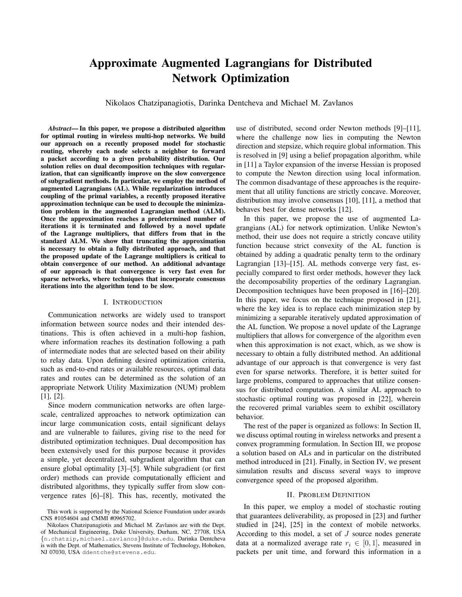# Approximate Augmented Lagrangians for Distributed Network Optimization

Nikolaos Chatzipanagiotis, Darinka Dentcheva and Michael M. Zavlanos

*Abstract*— In this paper, we propose a distributed algorithm for optimal routing in wireless multi-hop networks. We build our approach on a recently proposed model for stochastic routing, whereby each node selects a neighbor to forward a packet according to a given probability distribution. Our solution relies on dual decomposition techniques with regularization, that can significantly improve on the slow convergence of subgradient methods. In particular, we employ the method of augmented Lagrangians (AL). While regularization introduces coupling of the primal variables, a recently proposed iterative approximation technique can be used to decouple the minimization problem in the augmented Lagrangian method (ALM). Once the approximation reaches a predetermined number of iterations it is terminated and followed by a novel update of the Lagrange multipliers, that differs from that in the standard ALM. We show that truncating the approximation is necessary to obtain a fully distributed approach, and that the proposed update of the Lagrange multipliers is critical to obtain convergence of our method. An additional advantage of our approach is that convergence is very fast even for sparse networks, where techniques that incorporate consensus iterations into the algorithm tend to be slow.

## I. INTRODUCTION

Communication networks are widely used to transport information between source nodes and their intended destinations. This is often achieved in a multi-hop fashion, where information reaches its destination following a path of intermediate nodes that are selected based on their ability to relay data. Upon defining desired optimization criteria, such as end-to-end rates or available resources, optimal data rates and routes can be determined as the solution of an appropriate Network Utility Maximization (NUM) problem [1], [2].

Since modern communication networks are often largescale, centralized approaches to network optimization can incur large communication costs, entail significant delays and are vulnerable to failures, giving rise to the need for distributed optimization techniques. Dual decomposition has been extensively used for this purpose because it provides a simple, yet decentralized, subgradient algorithm that can ensure global optimality [3]–[5]. While subgradient (or first order) methods can provide computationally efficient and distributed algorithms, they typically suffer from slow convergence rates [6]–[8]. This has, recently, motivated the

use of distributed, second order Newton methods [9]–[11], where the challenge now lies in computing the Newton direction and stepsize, which require global information. This is resolved in [9] using a belief propagation algorithm, while in [11] a Taylor expansion of the inverse Hessian is proposed to compute the Newton direction using local information. The common disadvantage of these approaches is the requirement that all utility functions are strictly concave. Moreover, distribution may involve consensus [10], [11], a method that behaves best for dense networks [12].

In this paper, we propose the use of augmented Lagrangians (AL) for network optimization. Unlike Newton's method, their use does not require a strictly concave utility function because strict convexity of the AL function is obtained by adding a quadratic penalty term to the ordinary Lagrangian [13]–[15]. AL methods converge very fast, especially compared to first order methods, however they lack the decomposability properties of the ordinary Lagrangian. Decomposition techniques have been proposed in [16]–[20]. In this paper, we focus on the technique proposed in [21], where the key idea is to replace each minimization step by minimizing a separable iteratively updated approximation of the AL function. We propose a novel update of the Lagrange multipliers that allows for convergence of the algorithm even when this approximation is not exact, which, as we show is necessary to obtain a fully distributed method. An additional advantage of our approach is that convergence is very fast even for sparse networks. Therefore, it is better suited for large problems, compared to approaches that utilize consensus for distributed computation. A similar AL approach to stochastic optimal routing was proposed in [22], wherein the recovered primal variables seem to exhibit oscillatory behavior.

The rest of the paper is organized as follows: In Section II, we discuss optimal routing in wireless networks and present a convex programming formulation. In Section III, we propose a solution based on ALs and in particular on the distributed method introduced in [21]. Finally, in Section IV, we present simulation results and discuss several ways to improve convergence speed of the proposed algorithm.

#### II. PROBLEM DEFINITION

In this paper, we employ a model of stochastic routing that guarantees deliverability, as proposed in [23] and further studied in [24], [25] in the context of mobile networks. According to this model, a set of  $J$  source nodes generate data at a normalized average rate  $r_i \in [0, 1]$ , measured in packets per unit time, and forward this information in a

This work is supported by the National Science Foundation under awards CNS #1054604 and CMMI #0965702.

Nikolaos Chatzipanagiotis and Michael M. Zavlanos are with the Dept. of Mechanical Engineering, Duke University, Durham, NC, 27708, USA {n.chatzip,michael.zavlanos}@duke.edu. Darinka Dentcheva is with the Dept. of Mathematics, Stevens Institute of Technology, Hoboken, NJ 07030, USA ddentche@stevens.edu.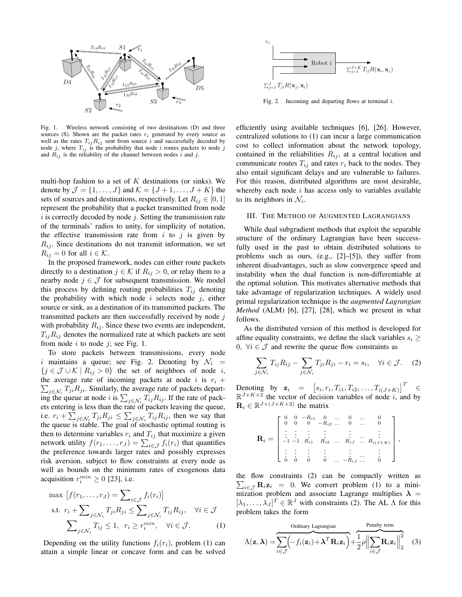

Fig. 1. Wireless network consisting of two destinations (D) and three sources (S). Shown are the packet rates  $r_i$  generated by every source as well as the rates  $T_{ij}R_{ij}$  sent from source i and successfully decoded by node j, where  $T_{ij}$  is the probability that node i routes packets to node j and  $R_{ij}$  is the reliability of the channel between nodes i and j.

multi-hop fashion to a set of  $K$  destinations (or sinks). We denote by  $\mathcal{J} = \{1, \ldots, J\}$  and  $\mathcal{K} = \{J+1, \ldots, J+K\}$  the sets of sources and destinations, respectively. Let  $R_{ij} \in [0, 1]$ represent the probability that a packet transmitted from node  $i$  is correctly decoded by node  $j$ . Setting the transmission rate of the terminals' radios to unity, for simplicity of notation, the effective transmission rate from  $i$  to  $j$  is given by  $R_{ij}$ . Since destinations do not transmit information, we set  $R_{ij} = 0$  for all  $i \in \mathcal{K}$ .

In the proposed framework, nodes can either route packets directly to a destination  $j \in \mathcal{K}$  if  $R_{ij} > 0$ , or relay them to a nearby node  $j \in \mathcal{J}$  for subsequent transmission. We model this process by defining routing probabilities  $T_{ij}$  denoting the probability with which node  $i$  selects node  $j$ , either source or sink, as a destination of its transmitted packets. The transmitted packets are then successfully received by node  $j$ with probability  $R_{ij}$ . Since these two events are independent,  $T_{ij}R_{ij}$  denotes the normalized rate at which packets are sent from node i to node j; see Fig. 1.

To store packets between transmissions, every node i maintains a queue; see Fig. 2. Denoting by  $\mathcal{N}_i$  =  $\{j \in \mathcal{J} \cup \mathcal{K} \mid R_{ij} > 0\}$  the set of neighbors of node i, the average rate of incoming packets at node i is  $r_i$  +  $\sum_{j \in \mathcal{N}_i} T_{ji} R_{ji}$ . Similarly, the average rate of packets departing the queue at node i is  $\sum_{j \in \mathcal{N}_i} T_{ij} R_{ij}$ . If the rate of packets entering is less than the rate of packets leaving the queue, i.e.  $r_i + \sum_{j \in \mathcal{N}_i} T_{ji} R_{ji} \leq \sum_{j \in \mathcal{N}_i} T_{ij} R_{ij}$ , then we say that the queue is stable. The goal of stochastic optimal routing is then to determine variables  $r_i$  and  $T_{ij}$  that maximize a given network utility  $f(r_1, \ldots, r_J) = \sum_{i \in \mathcal{J}} f_i(r_i)$  that quantifies the preference towards larger rates and possibly expresses risk aversion, subject to flow constraints at every node as well as bounds on the minimum rates of exogenous data acquisition  $r_i^{min} \ge 0$  [23], i.e.

$$
\max [f(r_1, \dots, r_J) = \sum_{i \in \mathcal{J}} f_i(r_i)]
$$
\n
$$
\text{s.t. } r_i + \sum_{j \in \mathcal{N}_i} T_{ji} R_{ji} \le \sum_{j \in \mathcal{N}_i} T_{ij} R_{ij}, \quad \forall i \in \mathcal{J}
$$
\n
$$
\sum_{j \in \mathcal{N}_i} T_{ij} \le 1, \quad r_i \ge r_i^{\min}, \quad \forall i \in \mathcal{J}.
$$
\n
$$
(1)
$$

Depending on the utility functions  $f_i(r_i)$ , problem (1) can attain a simple linear or concave form and can be solved



Fig. 2. Incoming and departing flows at terminal  $i$ .

efficiently using available techniques [6], [26]. However, centralized solutions to (1) can incur a large communication cost to collect information about the network topology, contained in the reliabilities  $R_{ij}$ , at a central location and communicate routes  $T_{ij}$  and rates  $r_i$  back to the nodes. They also entail significant delays and are vulnerable to failures. For this reason, distributed algorithms are most desirable, whereby each node  $i$  has access only to variables available to its neighbors in  $\mathcal{N}_i$ .

### III. THE METHOD OF AUGMENTED LAGRANGIANS

While dual subgradient methods that exploit the separable structure of the ordinary Lagrangian have been successfully used in the past to obtain distributed solutions to problems such as ours, (e.g., [2]–[5]), they suffer from inherent disadvantages, such as slow convergence speed and instability when the dual function is non-differentiable at the optimal solution. This motivates alternative methods that take advantage of regularization techniques. A widely used primal regularization technique is the *augmented Lagrangian Method* (ALM) [6], [27], [28], which we present in what follows.

As the distributed version of this method is developed for affine equality constraints, we define the slack variables  $s_i \geq$ 0,  $\forall i$  ∈  $\mathcal{J}$  and rewrite the queue flow constraints as

$$
\sum_{j \in \mathcal{N}_i} T_{ij} R_{ij} - \sum_{j \in \mathcal{N}_i} T_{ji} R_{ji} - r_i = s_i, \quad \forall i \in \mathcal{J}.
$$
 (2)

Denoting by  $\mathbf{z}_i = \begin{bmatrix} s_i, r_i, T_{i1}, T_{i2}, \dots, T_{i(J+K)} \end{bmatrix}^T \in$  $\mathbb{R}^{J+K+2}$  the vector of decision variables of node i, and by  $\mathbf{R}_i \in \mathbb{R}^{J \times (J + K + 2)}$  the matrix

$$
\mathbf{R}_{i} = \begin{bmatrix} 0 & 0 & -R_{i1} & 0 & \dots & 0 & \dots & 0 \\ 0 & 0 & 0 & -R_{i2} & \dots & 0 & \dots & 0 \\ \vdots & \vdots & \vdots & \vdots & & \vdots & \vdots & \vdots \\ -1 & -1 & R_{i1} & R_{i2} & \dots & R_{iJ} & \dots & R_{i(J+K)} \\ \vdots & \vdots & \vdots & \vdots & & \vdots & \dots & \vdots \\ 0 & 0 & 0 & 0 & \dots & -R_{iJ} & \dots & 0 \end{bmatrix},
$$

the flow constraints (2) can be compactly written as  $\sum_{i \in \mathcal{J}} \mathbf{R}_i \mathbf{z}_i = 0$ . We convert problem (1) to a minimization problem and associate Lagrange multiplies  $\lambda$  =  $[\lambda_1, \ldots, \lambda_J]^T \in \mathbb{R}^J$  with constraints (2). The AL  $\Lambda$  for this problem takes the form

Ordinary Lagrangian  
\n
$$
\Lambda(\mathbf{z}, \boldsymbol{\lambda}) = \sum_{i \in \mathcal{J}} \underbrace{\left( -f_i(\mathbf{z}_i) + \boldsymbol{\lambda}^T \mathbf{R}_i \mathbf{z}_i \right)}_{i \in \mathcal{J}} + \frac{1}{2} \rho \left\| \sum_{i \in \mathcal{J}} \mathbf{R}_i \mathbf{z}_i \right\|_2^2 \quad (3)
$$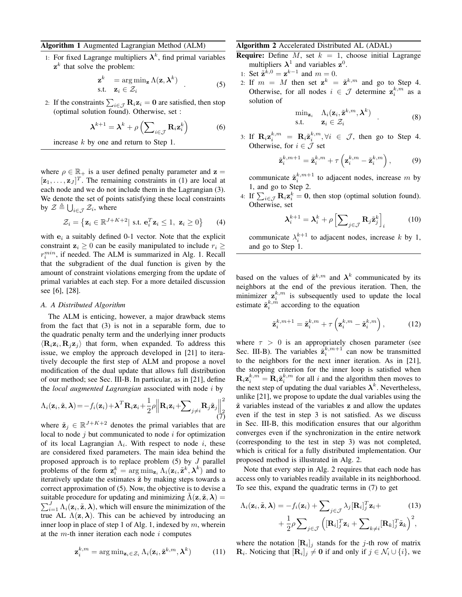# Algorithm 1 Augmented Lagrangian Method (ALM)

1: For fixed Lagrange multipliers  $\lambda^k$ , find primal variables  $z<sup>k</sup>$  that solve the problem:

$$
\mathbf{z}^{k} = \arg \min_{\mathbf{z}} \Lambda(\mathbf{z}, \boldsymbol{\lambda}^{k})
$$
  
s.t.  $\mathbf{z}_{i} \in \mathcal{Z}_{i}$  (5)

2: If the constraints  $\sum_{i \in \mathcal{J}} \mathbf{R}_i \mathbf{z}_i = \mathbf{0}$  are satisfied, then stop (optimal solution found). Otherwise, set :

$$
\boldsymbol{\lambda}^{k+1} = \boldsymbol{\lambda}^k + \rho \left( \sum_{i \in \mathcal{J}} \mathbf{R}_i \mathbf{z}_i^k \right) \tag{6}
$$

increase k by one and return to Step 1.

where  $\rho \in \mathbb{R}_+$  is a user defined penalty parameter and  $z =$  $[\mathbf{z}_1, \dots, \mathbf{z}_J]^T$ . The remaining constraints in (1) are local at each node and we do not include them in the Lagrangian (3). We denote the set of points satisfying these local constraints by  $\mathcal{Z} \triangleq \bigcup_{i \in \mathcal{J}} \mathcal{Z}_i$ , where

$$
\mathcal{Z}_i = \left\{ \mathbf{z}_i \in \mathbb{R}^{J+K+2} \middle| \text{ s.t. } \mathbf{e}_i^T \mathbf{z}_i \le 1, \mathbf{z}_i \ge 0 \right\} \tag{4}
$$

with  $e_i$  a suitably defined 0-1 vector. Note that the explicit constraint  $z_i \geq 0$  can be easily manipulated to include  $r_i \geq$  $r_i^{min}$ , if needed. The ALM is summarized in Alg. 1. Recall that the subgradient of the dual function is given by the amount of constraint violations emerging from the update of primal variables at each step. For a more detailed discussion see [6], [28].

#### *A. A Distributed Algorithm*

The ALM is enticing, however, a major drawback stems from the fact that (3) is not in a separable form, due to the quadratic penalty term and the underlying inner products  $\langle \mathbf{R}_i \mathbf{z}_i, \mathbf{R}_j \mathbf{z}_j \rangle$  that form, when expanded. To address this issue, we employ the approach developed in [21] to iteratively decouple the first step of ALM and propose a novel modification of the dual update that allows full distribution of our method; see Sec. III-B. In particular, as in [21], define the *local augmented Lagrangian* associated with node i by

$$
\Lambda_i(\mathbf{z}_i, \tilde{\mathbf{z}}, \boldsymbol{\lambda}) = -f_i(\mathbf{z}_i) + \boldsymbol{\lambda}^T \mathbf{R}_i \mathbf{z}_i + \frac{1}{2} \rho \Big\| \mathbf{R}_i \mathbf{z}_i + \sum\nolimits_{j \neq i} \mathbf{R}_j \tilde{\mathbf{z}}_j \Big\|_2^2
$$
\n(7)

where  $\tilde{\mathbf{z}}_j \in \mathbb{R}^{J+K+2}$  denotes the primal variables that are local to node  $j$  but communicated to node  $i$  for optimization of its local Lagrangian  $\Lambda_i$ . With respect to node i, these are considered fixed parameters. The main idea behind the proposed approach is to replace problem  $(5)$  by  $J$  parallel problems of the form  $\mathbf{z}_i^k = \arg \min_{\mathbf{z}_i} \Lambda_i(\mathbf{z}_i, \tilde{\mathbf{z}}^k, \boldsymbol{\lambda}^k)$  and to iteratively update the estimates  $\tilde{z}$  by making steps towards a correct approximation of (5). Now, the objective is to devise a suitable procedure for updating and minimizing  $\tilde{\Lambda}(\mathbf{z}, \tilde{\mathbf{z}}, \boldsymbol{\lambda}) =$  $\sum_{i=1}^{J} \Lambda_i(\mathbf{z}_i, \tilde{\mathbf{z}}, \boldsymbol{\lambda})$ , which will ensure the minimization of the true AL  $\Lambda(z, \lambda)$ . This can be achieved by introducing an inner loop in place of step 1 of Alg. 1, indexed by  $m$ , wherein at the  $m$ -th inner iteration each node  $i$  computes

$$
\mathbf{z}_{i}^{k,m} = \arg \min_{\mathbf{z}_{i} \in \mathcal{Z}_{i}} \Lambda_{i}(\mathbf{z}_{i}, \tilde{\mathbf{z}}^{k,m}, \boldsymbol{\lambda}^{k})
$$
(11)

#### Algorithm 2 Accelerated Distributed AL (ADAL)

- **Require:** Define M, set  $k = 1$ , choose initial Lagrange multipliers  $\lambda^1$  and variables  $z^0$ .
- 1: Set  $\tilde{\mathbf{z}}^{k,0} = \mathbf{z}^{k-1}$  and  $m = 0$ .
- 2: If  $m = M$  then set  $z^k = \tilde{z}^{k,m}$  and go to Step 4. Otherwise, for all nodes  $i \in \mathcal{J}$  determine  $\mathbf{z}_{i}^{k,m}$  as a solution of

$$
\min_{\mathbf{z}_i} \quad \Lambda_i(\mathbf{z}_i, \tilde{\mathbf{z}}^{k,m}, \boldsymbol{\lambda}^k) \quad .
$$
\ns.t.

\n
$$
\mathbf{z}_i \in \mathcal{Z}_i \tag{8}
$$

3: If  $\mathbf{R}_i \mathbf{z}_i^{k,m} = \mathbf{R}_i \tilde{\mathbf{z}}_i^{k,m}, \forall i \in \mathcal{J}$ , then go to Step 4. Otherwise, for  $i \in \mathcal{J}$  set

$$
\tilde{\mathbf{z}}_i^{k,m+1} = \tilde{\mathbf{z}}_i^{k,m} + \tau \left( \mathbf{z}_i^{k,m} - \tilde{\mathbf{z}}_i^{k,m} \right),\tag{9}
$$

communicate  $\tilde{\mathbf{z}}_i^{k,m+1}$  to adjacent nodes, increase m by 1, and go to Step 2.

4: If  $\sum_{i \in \mathcal{J}} \mathbf{R}_i \mathbf{z}_i^k = \mathbf{0}$ , then stop (optimal solution found). Otherwise, set

$$
\boldsymbol{\lambda}_i^{k+1} = \boldsymbol{\lambda}_i^k + \rho \left[ \sum_{j \in \mathcal{J}} \mathbf{R}_j \tilde{\mathbf{z}}_j^k \right]_i \tag{10}
$$

communicate  $\lambda_i^{k+1}$  to adjacent nodes, increase k by 1, and go to Step 1.

based on the values of  $\tilde{\mathbf{z}}^{k,m}$  and  $\boldsymbol{\lambda}^k$  communicated by its neighbors at the end of the previous iteration. Then, the minimizer  $z_i^{k,m}$  is subsequently used to update the local estimate  $\tilde{\mathbf{z}}_i^{k,m}$  according to the equation

$$
\tilde{\mathbf{z}}_i^{k,m+1} = \tilde{\mathbf{z}}_i^{k,m} + \tau \left( \mathbf{z}_i^{k,m} - \tilde{\mathbf{z}}_i^{k,m} \right),\tag{12}
$$

where  $\tau > 0$  is an appropriately chosen parameter (see Sec. III-B). The variables  $\tilde{\mathbf{z}}_i^{k,m+1}$  can now be transmitted to the neighbors for the next inner iteration. As in [21], the stopping criterion for the inner loop is satisfied when  $\mathbf{R}_i \mathbf{z}_i^{k,m} = \mathbf{R}_i \tilde{\mathbf{z}}_i^{k,m}$  for all i and the algorithm then moves to the next step of updating the dual variables  $\lambda^k$ . Nevertheless, unlike [21], we propose to update the dual variables using the  $\tilde{z}$  variables instead of the variables  $z$  and allow the updates even if the test in step 3 is not satisfied. As we discuss in Sec. III-B, this modification ensures that our algorithm converges even if the synchronization in the entire network (corresponding to the test in step 3) was not completed, which is critical for a fully distributed implementation. Our proposed method is illustrated in Alg. 2.

Note that every step in Alg. 2 requires that each node has access only to variables readily available in its neighborhood. To see this, expand the quadratic terms in (7) to get

$$
\Lambda_i(\mathbf{z}_i, \tilde{\mathbf{z}}, \boldsymbol{\lambda}) = -f_i(\mathbf{z}_i) + \sum_{j \in \mathcal{J}} \lambda_j [\mathbf{R}_i]_j^T \mathbf{z}_i + \frac{1}{2} \rho \sum_{j \in \mathcal{J}} \left( [\mathbf{R}_i]_j^T \mathbf{z}_i + \sum_{k \neq i} [\mathbf{R}_k]_j^T \tilde{\mathbf{z}}_k \right)^2,
$$
\n(13)

where the notation  $[\mathbf{R}_i]_j$  stands for the j-th row of matrix  $\mathbf{R}_i$ . Noticing that  $[\mathbf{R}_i]_j \neq \mathbf{0}$  if and only if  $j \in \mathcal{N}_i \cup \{i\}$ , we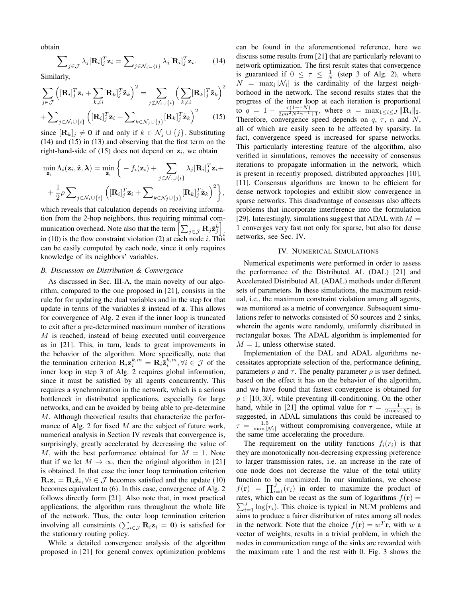obtain

$$
\sum_{j \in \mathcal{J}} \lambda_j [\mathbf{R}_i]_j^T \mathbf{z}_i = \sum_{j \in \mathcal{N}_i \cup \{i\}} \lambda_j [\mathbf{R}_i]_j^T \mathbf{z}_i.
$$
 (14)

Similarly,

$$
\sum_{j \in \mathcal{J}} \left( [\mathbf{R}_i]_j^T \mathbf{z}_i + \sum_{k \neq i} [\mathbf{R}_k]_j^T \tilde{\mathbf{z}}_k \right)^2 = \sum_{j \notin \mathcal{N}_i \cup \{i\}} \left( \sum_{k \neq i} [\mathbf{R}_k]_j^T \tilde{\mathbf{z}}_k \right)^2
$$

$$
+ \sum_{j \in \mathcal{N}_i \cup \{i\}} \left( [\mathbf{R}_i]_j^T \mathbf{z}_i + \sum_{k \in \mathcal{N}_j \cup \{j\}} [\mathbf{R}_k]_j^T \tilde{\mathbf{z}}_k \right)^2 \tag{15}
$$

since  $[\mathbf{R}_k]_j \neq \mathbf{0}$  if and only if  $k \in \mathcal{N}_j \cup \{j\}$ . Substituting (14) and (15) in (13) and observing that the first term on the right-hand-side of  $(15)$  does not depend on  $z_i$ , we obtain

$$
\min_{\mathbf{z}_i} \Lambda_i(\mathbf{z}_i, \tilde{\mathbf{z}}, \boldsymbol{\lambda}) = \min_{\mathbf{z}_i} \bigg\{ -f_i(\mathbf{z}_i) + \sum_{j \in \mathcal{N}_i \cup \{i\}} \lambda_j [\mathbf{R}_i]_j^T \mathbf{z}_i + + \frac{1}{2} \rho \sum_{j \in \mathcal{N}_i \cup \{i\}} \Big( [\mathbf{R}_i]_j^T \mathbf{z}_i + \sum_{k \in \mathcal{N}_j \cup \{j\}} [\mathbf{R}_k]_j^T \tilde{\mathbf{z}}_k \Big)^2 \bigg\},
$$

which reveals that calculation depends on receiving information from the 2-hop neighbors, thus requiring minimal communication overhead. Note also that the term  $\left[\sum_{j \in \mathcal{J}} \mathbf{R}_j \tilde{\mathbf{z}}_j^k\right]$ in (10) is the flow constraint violation (2) at each node i. This can be easily computed by each node, since it only requires knowledge of its neighbors' variables.

#### *B. Discussion on Distribution & Convergence*

As discussed in Sec. III-A, the main novelty of our algorithm, compared to the one proposed in [21], consists in the rule for for updating the dual variables and in the step for that update in terms of the variables  $\tilde{z}$  instead of  $z$ . This allows for convergence of Alg. 2 even if the inner loop is truncated to exit after a pre-determined maximum number of iterations M is reached, instead of being executed until convergence as in [21]. This, in turn, leads to great improvements in the behavior of the algorithm. More specifically, note that the termination criterion  $\mathbf{R}_i \mathbf{z}_i^{k,m} = \mathbf{R}_i \tilde{\mathbf{z}}_i^{k,m}, \forall i \in \mathcal{J}$  of the inner loop in step 3 of Alg. 2 requires global information, since it must be satisfied by all agents concurrently. This requires a synchronization in the network, which is a serious bottleneck in distributed applications, especially for large networks, and can be avoided by being able to pre-determine M. Although theoretical results that characterize the performance of Alg. 2 for fixed  $M$  are the subject of future work, numerical analysis in Section IV reveals that convergence is, surprisingly, greatly accelerated by decreasing the value of M, with the best performance obtained for  $M = 1$ . Note that if we let  $M \to \infty$ , then the original algorithm in [21] is obtained. In that case the inner loop termination criterion  $\mathbf{R}_i \mathbf{z}_i = \mathbf{R}_i \tilde{\mathbf{z}}_i, \forall i \in \mathcal{J}$  becomes satisfied and the update (10) becomes equivalent to (6). In this case, convergence of Alg. 2 follows directly form [21]. Also note that, in most practical applications, the algorithm runs throughout the whole life of the network. Thus, the outer loop termination criterion involving all constraints ( $\sum_{i \in \mathcal{J}} \mathbf{R}_i \mathbf{z}_i = \mathbf{0}$ ) is satisfied for the stationary routing policy.

While a detailed convergence analysis of the algorithm proposed in [21] for general convex optimization problems can be found in the aforementioned reference, here we discuss some results from [21] that are particularly relevant to network optimization. The first result states that convergence is guaranteed if  $0 \leq \tau \leq \frac{1}{N}$  (step 3 of Alg. 2), where  $N = \max_i |\mathcal{N}_i|$  is the cardinality of the largest neighborhood in the network. The second results states that the progress of the inner loop at each iteration is proportional to  $q = 1 - \frac{\tau(1-\tau N)}{2\rho \alpha^2 N^2 \gamma^{-1} + 1}$ , where  $\alpha = \max_{1 \le i \le J} ||\mathbf{R}_i||_2$ . Therefore, convergence speed depends on  $q$ ,  $\tau$ ,  $\alpha$  and N, all of which are easily seen to be affected by sparsity. In fact, convergence speed is increased for sparse networks. This particularly interesting feature of the algorithm, also verified in simulations, removes the necessity of consensus iterations to propagate information in the network, which is present in recently proposed, distributed approaches [10], [11]. Consensus algorithms are known to be efficient for dense network topologies and exhibit slow convergence in sparse networks. This disadvantage of consensus also affects problems that incorporate interference into the formulation [29]. Interestingly, simulations suggest that ADAL with  $M =$ 1 converges very fast not only for sparse, but also for dense networks, see Sec. IV.

## IV. NUMERICAL SIMULATIONS

Numerical experiments were performed in order to assess the performance of the Distributed AL (DAL) [21] and Accelerated Distributed AL (ADAL) methods under different sets of parameters. In these simulations, the maximum residual, i.e., the maximum constraint violation among all agents, was monitored as a metric of convergence. Subsequent simulations refer to networks consisted of 50 sources and 2 sinks, wherein the agents were randomly, uniformly distributed in rectangular boxes. The ADAL algorithm is implemented for  $M = 1$ , unless otherwise stated.

Implementation of the DAL and ADAL algorithms necessitates appropriate selection of the, performance defining, parameters  $\rho$  and  $\tau$ . The penalty parameter  $\rho$  is user defined, based on the effect it has on the behavior of the algorithm, and we have found that fastest convergence is obtained for  $\rho \in [10, 30]$ , while preventing ill-conditioning. On the other hand, while in [21] the optimal value for  $\tau = \frac{1}{2 \max |\mathcal{N}_i|}$  is suggested, in ADAL simulations this could be increased to  $\tau = \frac{1.5}{\max |\mathcal{N}_i|}$  without compromising convergence, while at the same time accelerating the procedure.

The requirement on the utility functions  $f_i(r_i)$  is that they are monotonically non-decreasing expressing preference to larger transmission rates, i.e. an increase in the rate of one node does not decrease the value of the total utility function to be maximized. In our simulations, we choose  $f(\mathbf{r}) = \prod_{i=1}^{J} (r_i)$  in order to maximize the product of rates, which can be recast as the sum of logarithms  $f(\mathbf{r}) =$  $\sum_{i=1}^{J} \log(r_i)$ . This choice is typical in NUM problems and aims to produce a fairer distribution of rates among all nodes in the network. Note that the choice  $f(\mathbf{r}) = w^T \mathbf{r}$ , with w a vector of weights, results in a trivial problem, in which the nodes in communication range of the sinks are rewarded with the maximum rate 1 and the rest with 0. Fig. 3 shows the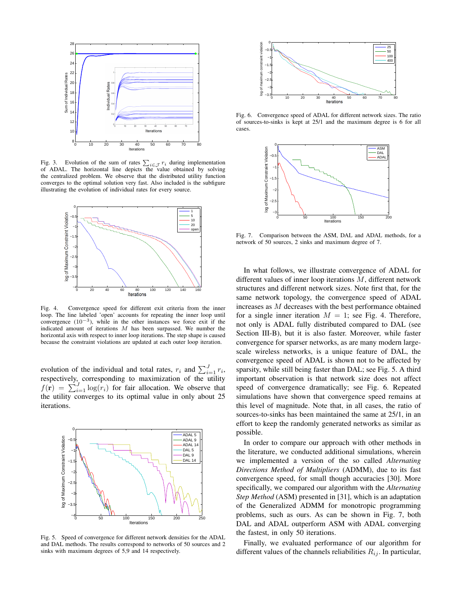

Fig. 3. Evolution of the sum of rates  $\sum_{i \in \mathcal{J}} r_i$  during implementation of ADAL. The horizontal line depicts the value obtained by solving the centralized problem. We observe that the distributed utility function converges to the optimal solution very fast. Also included is the subfigure illustrating the evolution of individual rates for every source.



Fig. 4. Convergence speed for different exit criteria from the inner loop. The line labeled 'open' accounts for repeating the inner loop until convergence  $(10^{-3})$ , while in the other instances we force exit if the indicated amount of iterations M has been surpassed. We number the horizontal axis with respect to inner loop iterations. The step shape is caused because the constraint violations are updated at each outer loop iteration.

evolution of the individual and total rates,  $r_i$  and  $\sum_{i=1}^{J} r_i$ , respectively, corresponding to maximization of the utility  $f(\mathbf{r}) = \sum_{i=1}^{J} \log(r_i)$  for fair allocation. We observe that the utility converges to its optimal value in only about 25 iterations.



Fig. 5. Speed of convergence for different network densities for the ADAL and DAL methods. The results correspond to networks of 50 sources and 2 sinks with maximum degrees of 5,9 and 14 respectively.



Fig. 6. Convergence speed of ADAL for different network sizes. The ratio of sources-to-sinks is kept at 25/1 and the maximum degree is 6 for all cases.



Fig. 7. Comparison between the ASM, DAL and ADAL methods, for a network of 50 sources, 2 sinks and maximum degree of 7.

In what follows, we illustrate convergence of ADAL for different values of inner loop iterations M, different network structures and different network sizes. Note first that, for the same network topology, the convergence speed of ADAL increases as M decreases with the best performance obtained for a single inner iteration  $M = 1$ ; see Fig. 4. Therefore, not only is ADAL fully distributed compared to DAL (see Section III-B), but it is also faster. Moreover, while faster convergence for sparser networks, as are many modern largescale wireless networks, is a unique feature of DAL, the convergence speed of ADAL is shown not to be affected by sparsity, while still being faster than DAL; see Fig. 5. A third important observation is that network size does not affect speed of convergence dramatically; see Fig. 6. Repeated simulations have shown that convergence speed remains at this level of magnitude. Note that, in all cases, the ratio of sources-to-sinks has been maintained the same at 25/1, in an effort to keep the randomly generated networks as similar as possible.

In order to compare our approach with other methods in the literature, we conducted additional simulations, wherein we implemented a version of the so called *Alternating Directions Method of Multipliers* (ADMM), due to its fast convergence speed, for small though accuracies [30]. More specifically, we compared our algorithm with the *Alternating Step Method* (ASM) presented in [31], which is an adaptation of the Generalized ADMM for monotropic programming problems, such as ours. As can be shown in Fig. 7, both DAL and ADAL outperform ASM with ADAL converging the fastest, in only 50 iterations.

Finally, we evaluated performance of our algorithm for different values of the channels reliabilities  $R_{ij}$ . In particular,